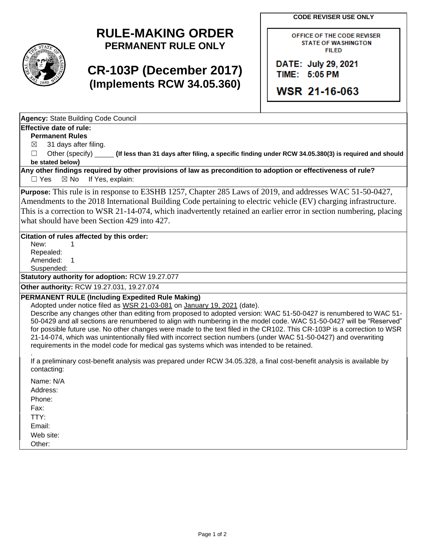**CODE REVISER USE ONLY**

# **RULE-MAKING ORDER PERMANENT RULE ONLY**

# **CR-103P (December 2017) (Implements RCW 34.05.360)**

OFFICE OF THE CODE REVISER **STATE OF WASHINGTON FILED** 

DATE: July 29, 2021 TIME: 5:05 PM

**WSR 21-16-063** 

**Agency:** State Building Code Council

### **Effective date of rule:**

**Permanent Rules**

 $\boxtimes$  31 days after filing.

☐ Other (specify) **(If less than 31 days after filing, a specific finding under RCW 34.05.380(3) is required and should be stated below)**

**Any other findings required by other provisions of law as precondition to adoption or effectiveness of rule?** □ Yes ⊠ No If Yes, explain:

**Purpose:** This rule is in response to E3SHB 1257, Chapter 285 Laws of 2019, and addresses WAC 51-50-0427, Amendments to the 2018 International Building Code pertaining to electric vehicle (EV) charging infrastructure. This is a correction to WSR 21-14-074, which inadvertently retained an earlier error in section numbering, placing what should have been Section 429 into 427.

### **Citation of rules affected by this order:**

New: 1 Repealed: Amended: 1 Suspended:

**Statutory authority for adoption:** RCW 19.27.077

**Other authority:** RCW 19.27.031, 19.27.074

#### **PERMANENT RULE (Including Expedited Rule Making)**

Adopted under notice filed as WSR 21-03-081 on January 19, 2021 (date).

Describe any changes other than editing from proposed to adopted version: WAC 51-50-0427 is renumbered to WAC 51- 50-0429 and all sections are renumbered to align with numbering in the model code. WAC 51-50-0427 will be "Reserved" for possible future use. No other changes were made to the text filed in the CR102. This CR-103P is a correction to WSR 21-14-074, which was unintentionally filed with incorrect section numbers (under WAC 51-50-0427) and overwriting requirements in the model code for medical gas systems which was intended to be retained.

. If a preliminary cost-benefit analysis was prepared under RCW 34.05.328, a final cost-benefit analysis is available by contacting:

Name: N/A Address: Phone: Fax: TTY: Email: Web site: Other: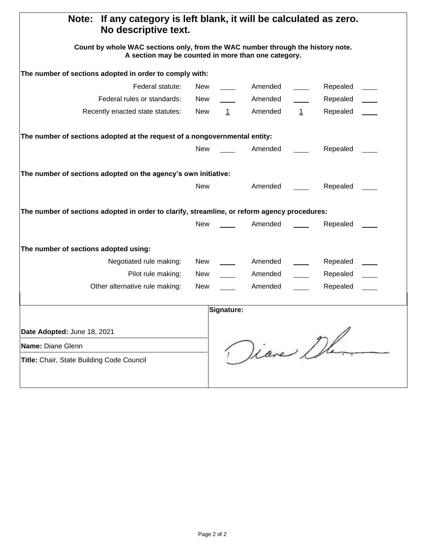| Note:<br>If any category is left blank, it will be calculated as zero.<br>No descriptive text.                                         |            |             |          |              |          |  |
|----------------------------------------------------------------------------------------------------------------------------------------|------------|-------------|----------|--------------|----------|--|
| Count by whole WAC sections only, from the WAC number through the history note.<br>A section may be counted in more than one category. |            |             |          |              |          |  |
| The number of sections adopted in order to comply with:                                                                                |            |             |          |              |          |  |
| Federal statute:                                                                                                                       | <b>New</b> |             | Amended  |              | Repealed |  |
| Federal rules or standards:                                                                                                            | New        |             | Amended  |              | Repealed |  |
| Recently enacted state statutes:                                                                                                       | New        | $\mathbf 1$ | Amended  | $\mathbf{1}$ | Repealed |  |
| The number of sections adopted at the request of a nongovernmental entity:                                                             |            |             |          |              |          |  |
|                                                                                                                                        | <b>New</b> |             | Amended  |              | Repealed |  |
| The number of sections adopted on the agency's own initiative:                                                                         |            |             |          |              |          |  |
|                                                                                                                                        | <b>New</b> |             | Amended  |              | Repealed |  |
| The number of sections adopted in order to clarify, streamline, or reform agency procedures:                                           |            |             |          |              |          |  |
|                                                                                                                                        | <b>New</b> |             | Amended  |              | Repealed |  |
| The number of sections adopted using:                                                                                                  |            |             |          |              |          |  |
| Negotiated rule making:                                                                                                                | New        |             | Amended  |              | Repealed |  |
| Pilot rule making:                                                                                                                     | <b>New</b> |             | Amended  |              | Repealed |  |
| Other alternative rule making:                                                                                                         | New        |             | Amended  |              | Repealed |  |
|                                                                                                                                        |            | Signature:  |          |              |          |  |
| Date Adopted: June 18, 2021                                                                                                            |            |             |          |              |          |  |
| Name: Diane Glenn                                                                                                                      |            |             | Diane De |              |          |  |
| Title: Chair, State Building Code Council                                                                                              |            |             |          |              |          |  |
|                                                                                                                                        |            |             |          |              |          |  |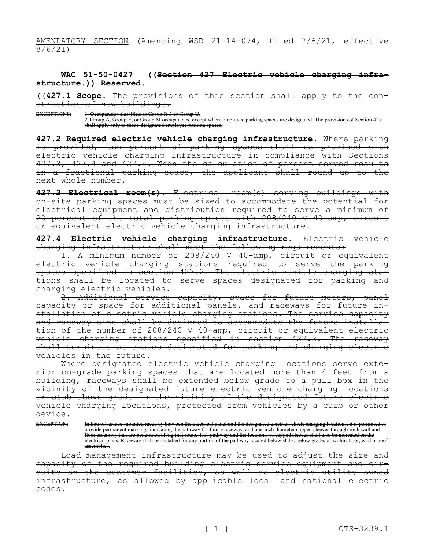AMENDATORY SECTION (Amending WSR 21-14-074, filed 7/6/21, effective 8/6/21)

#### **WAC 51-50-0427 ((Section 427—Electric vehicle charging infrastructure.)) Reserved.**

((**427.1 Scope.** The provisions of this section shall apply to the construction of new buildings.

EXCEPTIONS: 1. Occupancies classified as Group R-3 or Group U. 2. Group A, Group E, or Group M occupancies, except where employee parking spaces are designated. The provisions of Section 427 shall apply only to those designated employee parking spaces.

**427.2 Required electric vehicle charging infrastructure.** Where parking is provided, ten percent of parking spaces shall be provided with electric vehicle charging infrastructure in compliance with Sections 427.3, 427.4 and 427.5. When the calculation of percent served results in a fractional parking space, the applicant shall round up to the next whole number.

**427.3 Electrical room(s).** Electrical room(s) serving buildings with on-site parking spaces must be sized to accommodate the potential for electrical equipment and distribution required to serve a minimum of 20 percent of the total parking spaces with 208/240 V 40-amp, circuit or equivalent electric vehicle charging infrastructure.

**427.4 Electric vehicle charging infrastructure.** Electric vehicle charging infrastructure shall meet the following requirements:

1. A minimum number of 208/240 V 40-amp, circuit or equivalent electric vehicle charging stations required to serve the parking spaces specified in section 427.2. The electric vehicle charging stations shall be located to serve spaces designated for parking and charging electric vehicles.

2. Additional service capacity, space for future meters, panel capacity or space for additional panels, and raceways for future installation of electric vehicle charging stations. The service capacity and raceway size shall be designed to accommodate the future installation of the number of 208/240 V 40-amp, circuit or equivalent electric vehicle charging stations specified in section 427.2. The raceway shall terminate at spaces designated for parking and charging electric vehicles in the future.

Where designated electric vehicle charging locations serve exterior on-grade parking spaces that are located more than 4 feet from a building, raceways shall be extended below grade to a pull box in the vicinity of the designated future electric vehicle charging locations or stub above grade in the vicinity of the designated future electric vehicle charging locations, protected from vehicles by a curb or other device.

EXCEPTION: In lieu of surface-mounted raceway between the electrical panel and the designated electric vehicle charging locations, it is permitted to provide permanent markings indicating the pathway for future raceway, and one-inch diameter capped sleeves through each wall and floor assembly that are penetrated along that route. This pathway and the locations of capped sleeves shall also be indicated on the electrical plans. Raceway shall be installed for any portion of the pathway located below slabs, below grade, or within floor, wall or roof assemblies.

Load management infrastructure may be used to adjust the size and capacity of the required building electric service equipment and circuits on the customer facilities, as well as electric utility owned infrastructure, as allowed by applicable local and national electric codes.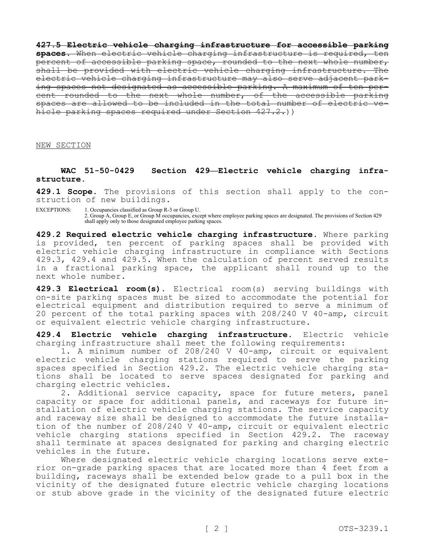**427.5 Electric vehicle charging infrastructure for accessible parking spaces.** When electric vehicle charging infrastructure is required, ten percent of accessible parking space, rounded to the next whole number, shall be provided with electric vehicle charging infrastructure. The electric vehicle charging infrastructure may also serve adjacent parking spaces not designated as accessible parking. A maximum of ten percent rounded to the next whole number, of the accessible parking spaces are allowed to be included in the total number of electric hicle parking spaces required under Section 427.2.))

NEW SECTION

#### **WAC 51-50-0429 Section 429—Electric vehicle charging infrastructure.**

**429.1 Scope.** The provisions of this section shall apply to the construction of new buildings.

EXCEPTIONS: 1. Occupancies classified as Group R-3 or Group U. 2. Group A, Group E, or Group M occupancies, except where employee parking spaces are designated. The provisions of Section 429 shall apply only to those designated employee parking spaces.

**429.2 Required electric vehicle charging infrastructure.** Where parking is provided, ten percent of parking spaces shall be provided with electric vehicle charging infrastructure in compliance with Sections 429.3, 429.4 and 429.5. When the calculation of percent served results in a fractional parking space, the applicant shall round up to the next whole number.

**429.3 Electrical room(s).** Electrical room(s) serving buildings with on-site parking spaces must be sized to accommodate the potential for electrical equipment and distribution required to serve a minimum of 20 percent of the total parking spaces with 208/240 V 40-amp, circuit or equivalent electric vehicle charging infrastructure.

**429.4 Electric vehicle charging infrastructure.** Electric vehicle charging infrastructure shall meet the following requirements:

1. A minimum number of 208/240 V 40-amp, circuit or equivalent electric vehicle charging stations required to serve the parking spaces specified in Section 429.2. The electric vehicle charging stations shall be located to serve spaces designated for parking and charging electric vehicles.

2. Additional service capacity, space for future meters, panel capacity or space for additional panels, and raceways for future installation of electric vehicle charging stations. The service capacity and raceway size shall be designed to accommodate the future installation of the number of 208/240 V 40-amp, circuit or equivalent electric vehicle charging stations specified in Section 429.2. The raceway shall terminate at spaces designated for parking and charging electric vehicles in the future.

Where designated electric vehicle charging locations serve exterior on-grade parking spaces that are located more than 4 feet from a building, raceways shall be extended below grade to a pull box in the vicinity of the designated future electric vehicle charging locations or stub above grade in the vicinity of the designated future electric